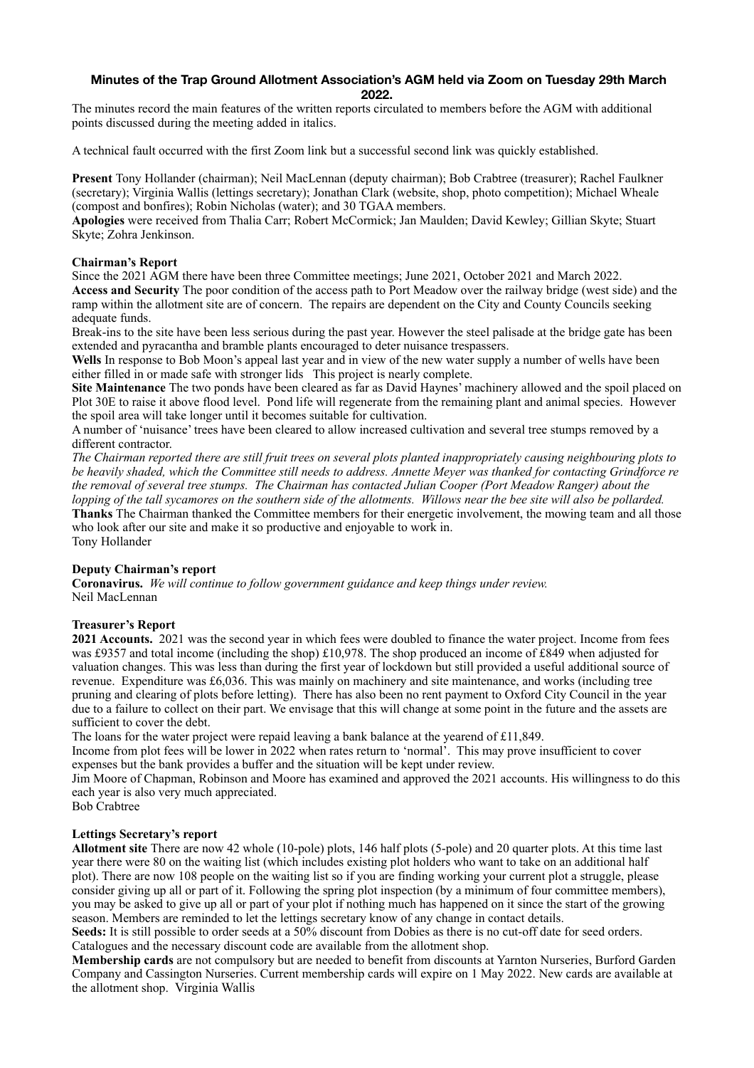# **Minutes of the Trap Ground Allotment Association's AGM held via Zoom on Tuesday 29th March 2022.**

The minutes record the main features of the written reports circulated to members before the AGM with additional points discussed during the meeting added in italics.

A technical fault occurred with the first Zoom link but a successful second link was quickly established.

**Present** Tony Hollander (chairman); Neil MacLennan (deputy chairman); Bob Crabtree (treasurer); Rachel Faulkner (secretary); Virginia Wallis (lettings secretary); Jonathan Clark (website, shop, photo competition); Michael Wheale (compost and bonfires); Robin Nicholas (water); and 30 TGAA members.

**Apologies** were received from Thalia Carr; Robert McCormick; Jan Maulden; David Kewley; Gillian Skyte; Stuart Skyte; Zohra Jenkinson.

# **Chairman's Report**

Since the 2021 AGM there have been three Committee meetings; June 2021, October 2021 and March 2022. **Access and Security** The poor condition of the access path to Port Meadow over the railway bridge (west side) and the ramp within the allotment site are of concern. The repairs are dependent on the City and County Councils seeking adequate funds.

Break-ins to the site have been less serious during the past year. However the steel palisade at the bridge gate has been extended and pyracantha and bramble plants encouraged to deter nuisance trespassers.

**Wells** In response to Bob Moon's appeal last year and in view of the new water supply a number of wells have been either filled in or made safe with stronger lids This project is nearly complete.

**Site Maintenance** The two ponds have been cleared as far as David Haynes' machinery allowed and the spoil placed on Plot 30E to raise it above flood level. Pond life will regenerate from the remaining plant and animal species. However the spoil area will take longer until it becomes suitable for cultivation.

A number of 'nuisance' trees have been cleared to allow increased cultivation and several tree stumps removed by a different contractor.

*The Chairman reported there are still fruit trees on several plots planted inappropriately causing neighbouring plots to be heavily shaded, which the Committee still needs to address. Annette Meyer was thanked for contacting Grindforce re the removal of several tree stumps. The Chairman has contacted Julian Cooper (Port Meadow Ranger) about the lopping of the tall sycamores on the southern side of the allotments. Willows near the bee site will also be pollarded.* **Thanks** The Chairman thanked the Committee members for their energetic involvement, the mowing team and all those who look after our site and make it so productive and enjoyable to work in. Tony Hollander

## **Deputy Chairman's report**

**Coronavirus.** *We will continue to follow government guidance and keep things under review.* Neil MacLennan

## **Treasurer's Report**

**2021 Accounts.** 2021 was the second year in which fees were doubled to finance the water project. Income from fees was £9357 and total income (including the shop) £10,978. The shop produced an income of £849 when adjusted for valuation changes. This was less than during the first year of lockdown but still provided a useful additional source of revenue. Expenditure was £6,036. This was mainly on machinery and site maintenance, and works (including tree pruning and clearing of plots before letting). There has also been no rent payment to Oxford City Council in the year due to a failure to collect on their part. We envisage that this will change at some point in the future and the assets are sufficient to cover the debt.

The loans for the water project were repaid leaving a bank balance at the yearend of £11,849.

Income from plot fees will be lower in 2022 when rates return to 'normal'. This may prove insufficient to cover expenses but the bank provides a buffer and the situation will be kept under review.

Jim Moore of Chapman, Robinson and Moore has examined and approved the 2021 accounts. His willingness to do this each year is also very much appreciated.

Bob Crabtree

## **Lettings Secretary's report**

**Allotment site** There are now 42 whole (10-pole) plots, 146 half plots (5-pole) and 20 quarter plots. At this time last year there were 80 on the waiting list (which includes existing plot holders who want to take on an additional half plot). There are now 108 people on the waiting list so if you are finding working your current plot a struggle, please consider giving up all or part of it. Following the spring plot inspection (by a minimum of four committee members), you may be asked to give up all or part of your plot if nothing much has happened on it since the start of the growing season. Members are reminded to let the lettings secretary know of any change in contact details.

**Seeds:** It is still possible to order seeds at a 50% discount from Dobies as there is no cut-off date for seed orders. Catalogues and the necessary discount code are available from the allotment shop.

**Membership cards** are not compulsory but are needed to benefit from discounts at Yarnton Nurseries, Burford Garden Company and Cassington Nurseries. Current membership cards will expire on 1 May 2022. New cards are available at the allotment shop. Virginia Wallis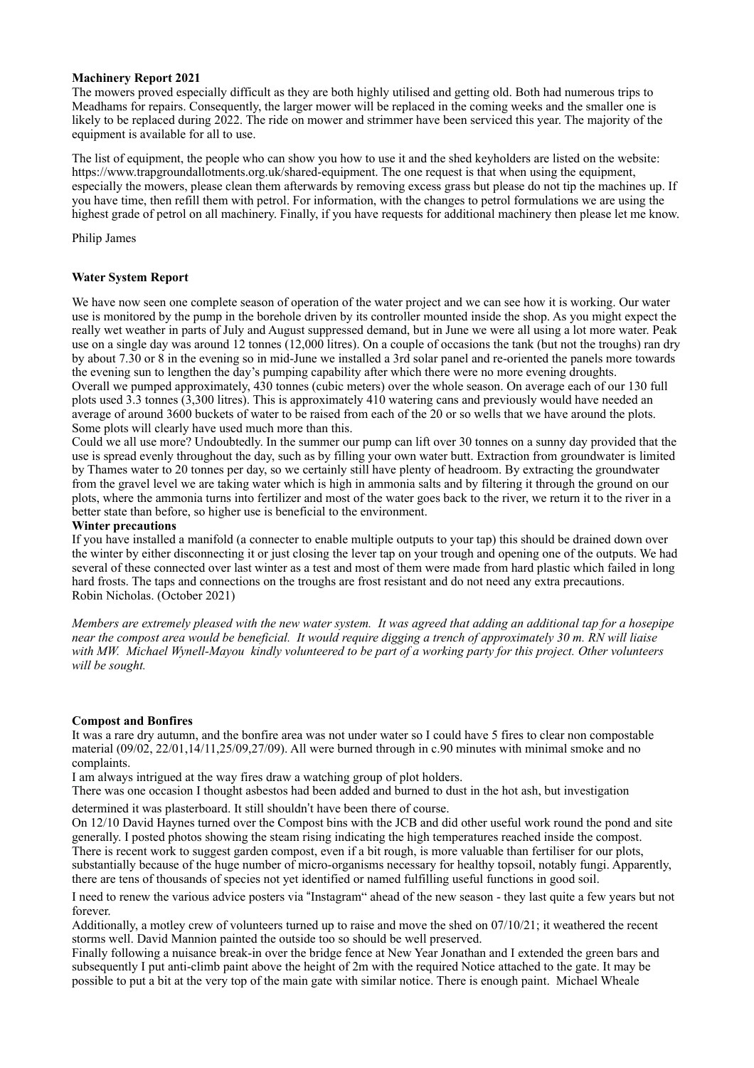#### **Machinery Report 2021**

The mowers proved especially difficult as they are both highly utilised and getting old. Both had numerous trips to Meadhams for repairs. Consequently, the larger mower will be replaced in the coming weeks and the smaller one is likely to be replaced during 2022. The ride on mower and strimmer have been serviced this year. The majority of the equipment is available for all to use.

The list of equipment, the people who can show you how to use it and the shed keyholders are listed on the website: https://www.trapgroundallotments.org.uk/shared-equipment. The one request is that when using the equipment, especially the mowers, please clean them afterwards by removing excess grass but please do not tip the machines up. If you have time, then refill them with petrol. For information, with the changes to petrol formulations we are using the highest grade of petrol on all machinery. Finally, if you have requests for additional machinery then please let me know.

Philip James

## **Water System Report**

We have now seen one complete season of operation of the water project and we can see how it is working. Our water use is monitored by the pump in the borehole driven by its controller mounted inside the shop. As you might expect the really wet weather in parts of July and August suppressed demand, but in June we were all using a lot more water. Peak use on a single day was around 12 tonnes (12,000 litres). On a couple of occasions the tank (but not the troughs) ran dry by about 7.30 or 8 in the evening so in mid-June we installed a 3rd solar panel and re-oriented the panels more towards the evening sun to lengthen the day's pumping capability after which there were no more evening droughts. Overall we pumped approximately, 430 tonnes (cubic meters) over the whole season. On average each of our 130 full plots used 3.3 tonnes (3,300 litres). This is approximately 410 watering cans and previously would have needed an average of around 3600 buckets of water to be raised from each of the 20 or so wells that we have around the plots. Some plots will clearly have used much more than this.

Could we all use more? Undoubtedly. In the summer our pump can lift over 30 tonnes on a sunny day provided that the use is spread evenly throughout the day, such as by filling your own water butt. Extraction from groundwater is limited by Thames water to 20 tonnes per day, so we certainly still have plenty of headroom. By extracting the groundwater from the gravel level we are taking water which is high in ammonia salts and by filtering it through the ground on our plots, where the ammonia turns into fertilizer and most of the water goes back to the river, we return it to the river in a better state than before, so higher use is beneficial to the environment.

#### **Winter precautions**

If you have installed a manifold (a connecter to enable multiple outputs to your tap) this should be drained down over the winter by either disconnecting it or just closing the lever tap on your trough and opening one of the outputs. We had several of these connected over last winter as a test and most of them were made from hard plastic which failed in long hard frosts. The taps and connections on the troughs are frost resistant and do not need any extra precautions. Robin Nicholas. (October 2021)

*Members are extremely pleased with the new water system. It was agreed that adding an additional tap for a hosepipe near the compost area would be beneficial. It would require digging a trench of approximately 30 m. RN will liaise with MW. Michael Wynell-Mayou kindly volunteered to be part of a working party for this project. Other volunteers will be sought.*

#### **Compost and Bonfires**

It was a rare dry autumn, and the bonfire area was not under water so I could have 5 fires to clear non compostable material (09/02, 22/01,14/11,25/09,27/09). All were burned through in c.90 minutes with minimal smoke and no complaints.

I am always intrigued at the way fires draw a watching group of plot holders.

There was one occasion I thought asbestos had been added and burned to dust in the hot ash, but investigation determined it was plasterboard. It still shouldn't have been there of course.

On 12/10 David Haynes turned over the Compost bins with the JCB and did other useful work round the pond and site generally. I posted photos showing the steam rising indicating the high temperatures reached inside the compost. There is recent work to suggest garden compost, even if a bit rough, is more valuable than fertiliser for our plots, substantially because of the huge number of micro-organisms necessary for healthy topsoil, notably fungi. Apparently, there are tens of thousands of species not yet identified or named fulfilling useful functions in good soil.

I need to renew the various advice posters via "Instagram" ahead of the new season - they last quite a few years but not forever.

Additionally, a motley crew of volunteers turned up to raise and move the shed on 07/10/21; it weathered the recent storms well. David Mannion painted the outside too so should be well preserved.

Finally following a nuisance break-in over the bridge fence at New Year Jonathan and I extended the green bars and subsequently I put anti-climb paint above the height of 2m with the required Notice attached to the gate. It may be possible to put a bit at the very top of the main gate with similar notice. There is enough paint. Michael Wheale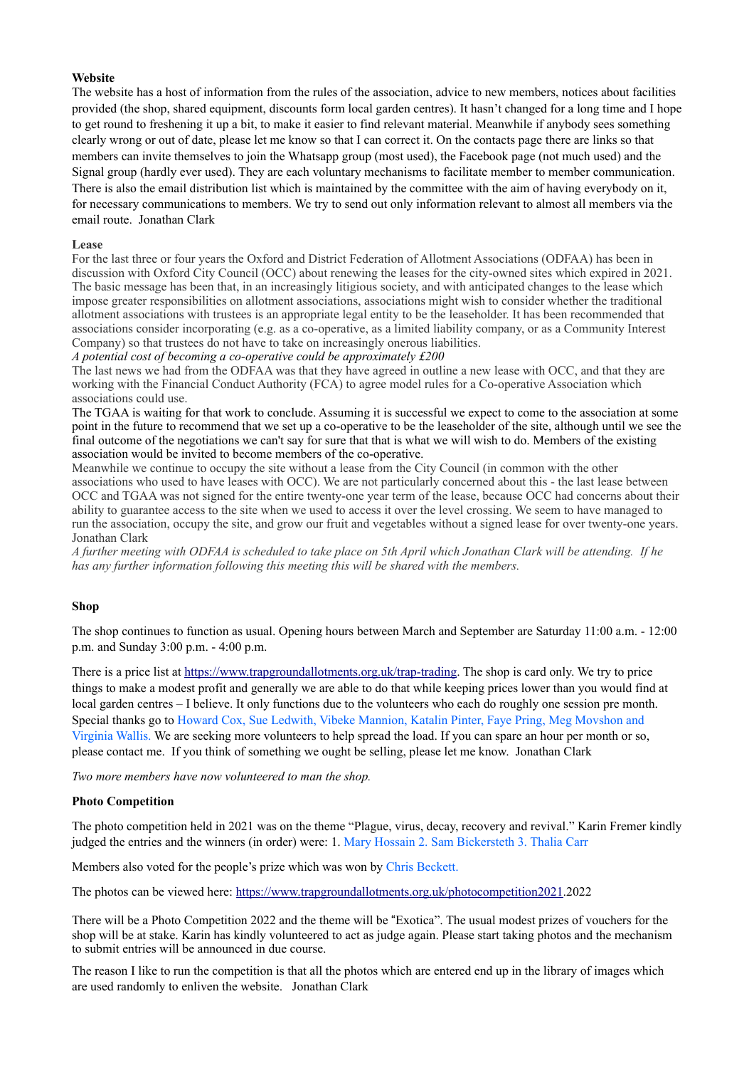# **Website**

The website has a host of information from the rules of the association, advice to new members, notices about facilities provided (the shop, shared equipment, discounts form local garden centres). It hasn't changed for a long time and I hope to get round to freshening it up a bit, to make it easier to find relevant material. Meanwhile if anybody sees something clearly wrong or out of date, please let me know so that I can correct it. On the contacts page there are links so that members can invite themselves to join the Whatsapp group (most used), the Facebook page (not much used) and the Signal group (hardly ever used). They are each voluntary mechanisms to facilitate member to member communication. There is also the email distribution list which is maintained by the committee with the aim of having everybody on it, for necessary communications to members. We try to send out only information relevant to almost all members via the email route. Jonathan Clark

#### **Lease**

For the last three or four years the Oxford and District Federation of Allotment Associations (ODFAA) has been in discussion with Oxford City Council (OCC) about renewing the leases for the city-owned sites which expired in 2021. The basic message has been that, in an increasingly litigious society, and with anticipated changes to the lease which impose greater responsibilities on allotment associations, associations might wish to consider whether the traditional allotment associations with trustees is an appropriate legal entity to be the leaseholder. It has been recommended that associations consider incorporating (e.g. as a co-operative, as a limited liability company, or as a Community Interest Company) so that trustees do not have to take on increasingly onerous liabilities.

*A potential cost of becoming a co-operative could be approximately £200*

The last news we had from the ODFAA was that they have agreed in outline a new lease with OCC, and that they are working with the Financial Conduct Authority (FCA) to agree model rules for a Co-operative Association which associations could use.

The TGAA is waiting for that work to conclude. Assuming it is successful we expect to come to the association at some point in the future to recommend that we set up a co-operative to be the leaseholder of the site, although until we see the final outcome of the negotiations we can't say for sure that that is what we will wish to do. Members of the existing association would be invited to become members of the co-operative.

Meanwhile we continue to occupy the site without a lease from the City Council (in common with the other associations who used to have leases with OCC). We are not particularly concerned about this - the last lease between OCC and TGAA was not signed for the entire twenty-one year term of the lease, because OCC had concerns about their ability to guarantee access to the site when we used to access it over the level crossing. We seem to have managed to run the association, occupy the site, and grow our fruit and vegetables without a signed lease for over twenty-one years. Jonathan Clark

*A further meeting with ODFAA is scheduled to take place on 5th April which Jonathan Clark will be attending. If he has any further information following this meeting this will be shared with the members.*

## **Shop**

The shop continues to function as usual. Opening hours between March and September are Saturday 11:00 a.m. - 12:00 p.m. and Sunday 3:00 p.m. - 4:00 p.m.

There is a price list at [https://www.trapgroundallotments.org.uk/trap-trading.](https://www.trapgroundallotments.org.uk/trap-trading) The shop is card only. We try to price things to make a modest profit and generally we are able to do that while keeping prices lower than you would find at local garden centres – I believe. It only functions due to the volunteers who each do roughly one session pre month. Special thanks go to Howard Cox, Sue Ledwith, Vibeke Mannion, Katalin Pinter, Faye Pring, Meg Movshon and Virginia Wallis. We are seeking more volunteers to help spread the load. If you can spare an hour per month or so, please contact me. If you think of something we ought be selling, please let me know. Jonathan Clark

*Two more members have now volunteered to man the shop.*

#### **Photo Competition**

The photo competition held in 2021 was on the theme "Plague, virus, decay, recovery and revival." Karin Fremer kindly judged the entries and the winners (in order) were: 1. Mary Hossain 2. Sam Bickersteth 3. Thalia Carr

Members also voted for the people's prize which was won by Chris Beckett.

The photos can be viewed here:<https://www.trapgroundallotments.org.uk/photocompetition2021>.2022

There will be a Photo Competition 2022 and the theme will be "Exotica". The usual modest prizes of vouchers for the shop will be at stake. Karin has kindly volunteered to act as judge again. Please start taking photos and the mechanism to submit entries will be announced in due course.

The reason I like to run the competition is that all the photos which are entered end up in the library of images which are used randomly to enliven the website. Jonathan Clark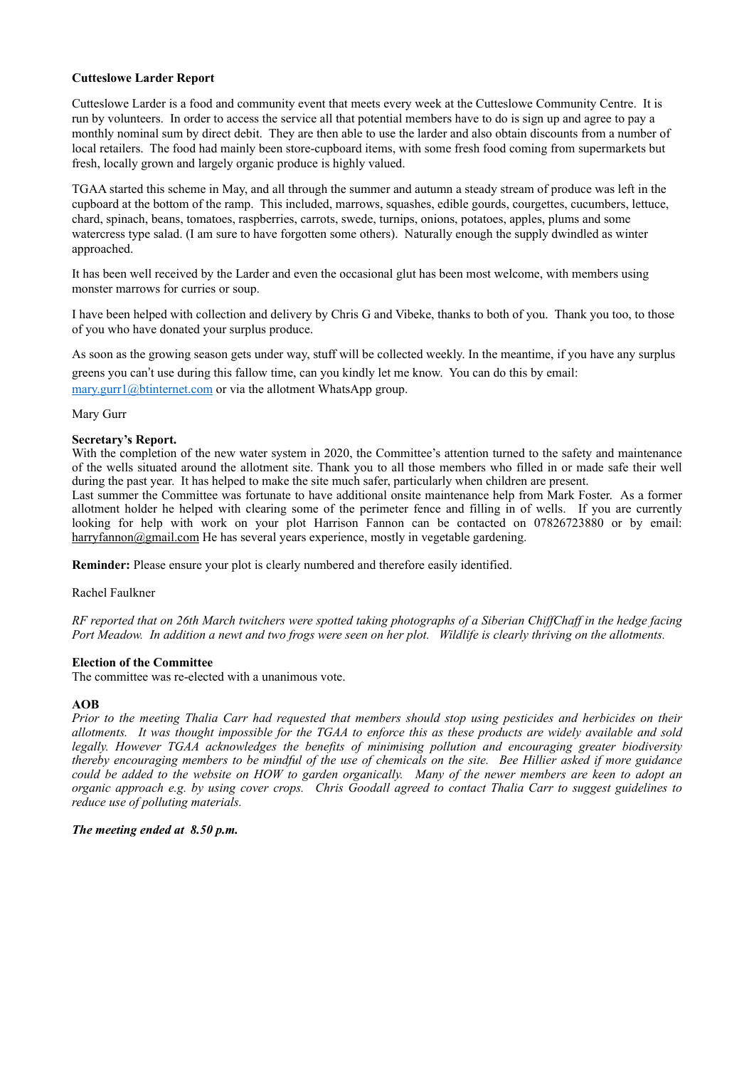# **Cutteslowe Larder Report**

Cutteslowe Larder is a food and community event that meets every week at the Cutteslowe Community Centre. It is run by volunteers. In order to access the service all that potential members have to do is sign up and agree to pay a monthly nominal sum by direct debit. They are then able to use the larder and also obtain discounts from a number of local retailers. The food had mainly been store-cupboard items, with some fresh food coming from supermarkets but fresh, locally grown and largely organic produce is highly valued.

TGAA started this scheme in May, and all through the summer and autumn a steady stream of produce was left in the cupboard at the bottom of the ramp. This included, marrows, squashes, edible gourds, courgettes, cucumbers, lettuce, chard, spinach, beans, tomatoes, raspberries, carrots, swede, turnips, onions, potatoes, apples, plums and some watercress type salad. (I am sure to have forgotten some others). Naturally enough the supply dwindled as winter approached.

It has been well received by the Larder and even the occasional glut has been most welcome, with members using monster marrows for curries or soup.

I have been helped with collection and delivery by Chris G and Vibeke, thanks to both of you. Thank you too, to those of you who have donated your surplus produce.

As soon as the growing season gets under way, stuff will be collected weekly. In the meantime, if you have any surplus greens you can't use during this fallow time, can you kindly let me know. You can do this by email: [mary.gurr1@btinternet.com](mailto:mary.gurr1@btinternet.com) or via the allotment WhatsApp group.

Mary Gurr

# **Secretary's Report.**

With the completion of the new water system in 2020, the Committee's attention turned to the safety and maintenance of the wells situated around the allotment site. Thank you to all those members who filled in or made safe their well during the past year. It has helped to make the site much safer, particularly when children are present.

Last summer the Committee was fortunate to have additional onsite maintenance help from Mark Foster. As a former allotment holder he helped with clearing some of the perimeter fence and filling in of wells. If you are currently looking for help with work on your plot Harrison Fannon can be contacted on 07826723880 or by email: [harryfannon@gmail.com](mailto:harryfannon@gmail.com) He has several years experience, mostly in vegetable gardening.

**Reminder:** Please ensure your plot is clearly numbered and therefore easily identified.

Rachel Faulkner

*RF reported that on 26th March twitchers were spotted taking photographs of a Siberian ChiffChaff in the hedge facing Port Meadow. In addition a newt and two frogs were seen on her plot. Wildlife is clearly thriving on the allotments.*

# **Election of the Committee**

The committee was re-elected with a unanimous vote.

## **AOB**

*Prior to the meeting Thalia Carr had requested that members should stop using pesticides and herbicides on their allotments. It was thought impossible for the TGAA to enforce this as these products are widely available and sold legally. However TGAA acknowledges the benefits of minimising pollution and encouraging greater biodiversity thereby encouraging members to be mindful of the use of chemicals on the site. Bee Hillier asked if more guidance could be added to the website on HOW to garden organically. Many of the newer members are keen to adopt an organic approach e.g. by using cover crops. Chris Goodall agreed to contact Thalia Carr to suggest guidelines to reduce use of polluting materials.*

#### *The meeting ended at 8.50 p.m.*